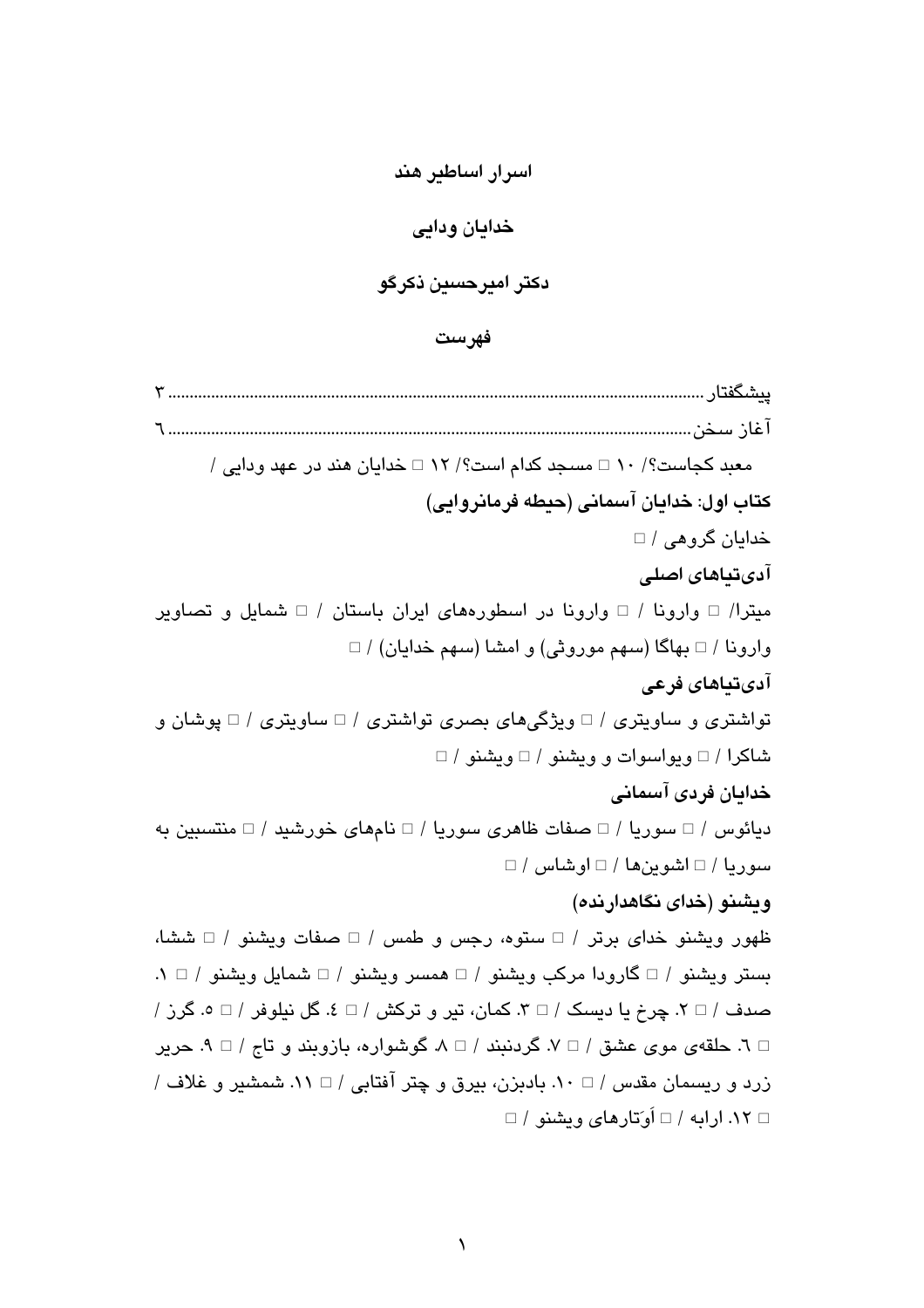اسرار اساطیر هند خدايان ودايي دکتر اميرحسين ذکرگو

فهرست

معبد کجاست؟/ ١٠ □ مسجد کدام است؟/ ١٢ □ خدایان هند در عهد ودایی / كتاب اول: خدايان آسماني (حيطه فرمانروايي) خدایان گروهی / □ آدیتناهای اصلے میترا/ □ وارونا / □ وارونا در اسطورههای ایران باستان / □ شمایل و تصاویر وارونا / □ بهاگا (سهم موروثی) و امشا (سهم خدایان) / □ آدىتياهاى فرعى تواشتري و ساويتري / □ ويژگيهاي بصري تواشتري / □ ساويتري / □ پوشان و شاکرا / □ ویواسوات و ویشنو / □ ویشنو / □ خدامان فردي آسماني دیائوس / $\Box$ سوریا / $\Box$ صفات ظاهری سوریا / $\Box$  نامهای خورشید / $\Box$  منتسبین به  $\Box$ / سوريا / $\Box$  اشوين ها / $\Box$  او شاس ويشنو (خداي نگاهدارنده) ظهور ويشنو خداي برتر / □ ستوه، رجس و طمس / □ صفات ويشنو / □ ششا، بستر ویشنو / □ گارودا مرکب ویشنو / □ همسر ویشنو / □ شمایل ویشنو / □ ١. صدف / $\Box$  ۲. چرخ یا دسیک / $\Box$  ۳. کمان، تیر و ترکش / $\Box$  ۶. گل نیلوفر / $\Box$  ۶. گرز /  $\Box$  7. حلقهي موي عشق / $\neg$  ٧. گردنيند / $\land \Box$  ٨. گوشواره، بازويند و تاج / $\neg$  ٩. جرير زرد و ریسمان مقدس / □ ١٠. بادبزن، بیرق و چتر آفتابی / □ ١١. شمشیر و غلاف /  $\Box$  ۱۲. ار ایه / $\Box$  اُو تار های ویشنو / $\Box$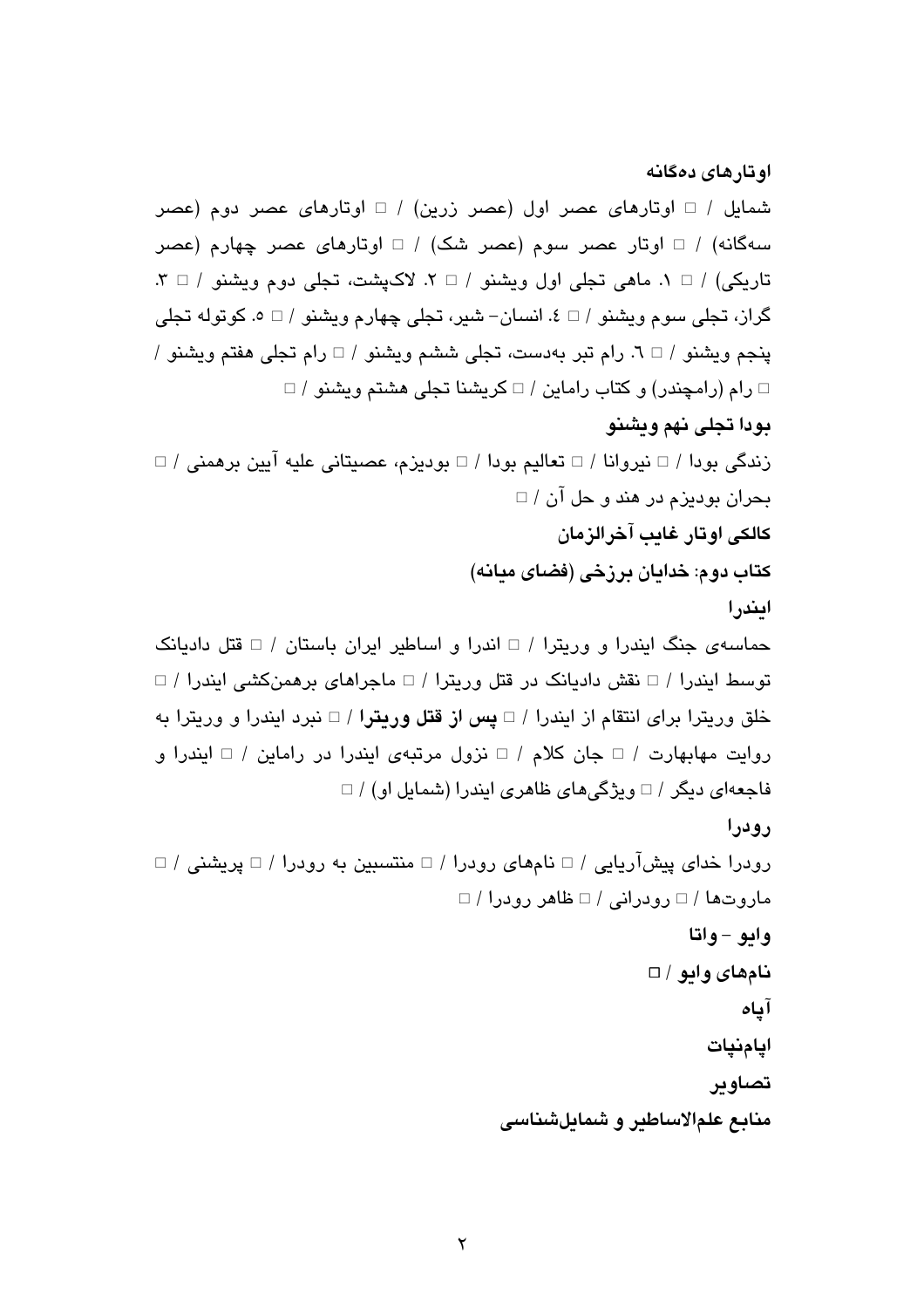اوتارهای دهگانه شمایل / □ اوتارهای عصر اول (عصر زرین) / □ اوتارهای عصر دوم (عصر سهگانه) / □ اوتار عصر سوم (عصر شک) / □ اوتارهای عصر چهارم (عصر  $\mathcal{X} \cup \mathcal{Y}$ تاریکی) /  $\Box$  ۸. ماهی تجلی اول ویشنو /  $\Box$  ۲. لاکیشت، تجلی دوم ویشنو /  $\Box$  ۲. گراز، تجلي سوم ويشنو / □ ٤. انسان− شير، تجلي چهارم ويشنو / □ ٥. كوتوله تجلي پنجم ويشنو / □ ٦. رام تبر بهدست، تجلي ششم ويشنو / □ رام تجلي هفتم ويشنو /  $\Box$  رام (رامچندر) و كتاب راماين / $\Box$  كريشنا تجلي هشتم ويشنو / $\Box$ بودا تجلي نهم ويشنو زندگی بودا / □ نیروانا / □ تعالیم بودا / □ بودیزم، عصیتانی علیه آیین برهمنی / □ بحران بوديزم در هند و حل آن / □ كالكي اوتار غاب آخرالزمان کتاب دوم: خدایان برزخی (فضای میانه) ايندرا حماسهی جنگ ایندرا و وریترا / □ اندرا و اساطیر ایران باستان / □ قتل دادیانک توسط ایندرا / □ نقش دادیانک در قتل وریترا / □ ماجراهای برهمنکشی ایندرا / □ خلق وریترا برای انتقام از ایندرا / □ **یس از قتل وریتر**ا / □ نبرد ایندرا و وریترا به روايت مهابهارت / □ جان كلام / □ نزول مرتبهى ايندرا در راماين / □ ايندرا و فاجعهای دیگر / □ ویژگیهای ظاهری ایندرا (شمایل او) / □ رودرا  $\Box$  رودرا خدای پیشآریایی / $\Box$  نامهای رودرا / $\Box$  منتسبین به رودرا / $\Box$  پریشنی / ماروتها / □ رودرانی / □ ظاهر رودرا / □ وايو - واتا نامهای وابو / □ آياه ايامنيات تصاوين منابع علمالاساطير و شمايلشناسي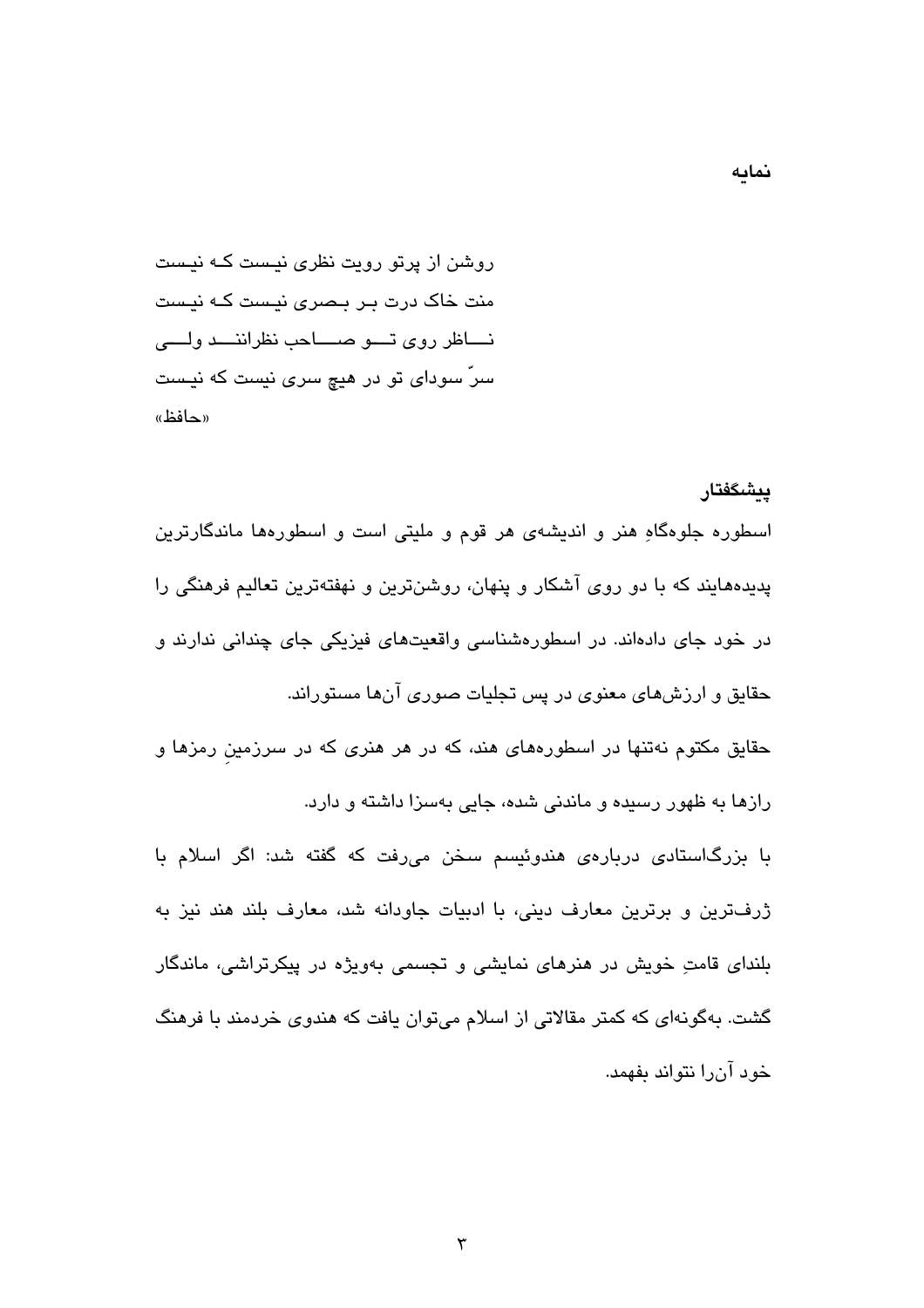روشن از پرتو رویت نظری نیست کـه نیست منت خاک درت بـر بـصری نیـست کـه نیـست نساظر روى تسو صساحب نظراننسد ولسى سرّ سودای تو در هیچ سری نیست که نیست «حافظ»

يىشگفتار اسطوره جلوهگاهِ هنر و اندیشهی هر قوم و ملیتی است و اسطورهها ماندگارترین پدیدههایند که با دو روی آشکار و پنهان، روشنترین و نهفتهترین تعالیم فرهنگی را در خود جای دادهاند. در اسطورهشناسی واقعیتهای فیزیکی جای چندانی ندارند و حقایق و ارزشهای معنوی در پس تجلیات صوری آنها مستوراند.

حقایق مکتوم نهتنها در اسطورههای هند، که در هر هنری که در سرزمین رمزها و رازها به ظهور رسیده و ماندنی شده، جایی بهسزا داشته و دارد.

با بزرگاستادی دربارهی هندوئیسم سخن میرفت که گفته شد: اگر اسلام با ژرفترین و برترین معارف دینی، با ادبیات جاودانه شد، معارف بلند هند نیز به بلندای قامتِ خویش در هنرهای نمایشی و تجسمی بهویژه در پیکرتراشی، ماندگار گشت. بهگونهای که کمتر مقالاتی از اسلام میتوان یافت که هندوی خردمند با فرهنگ خود آن را نتواند بفهمد.

نمايه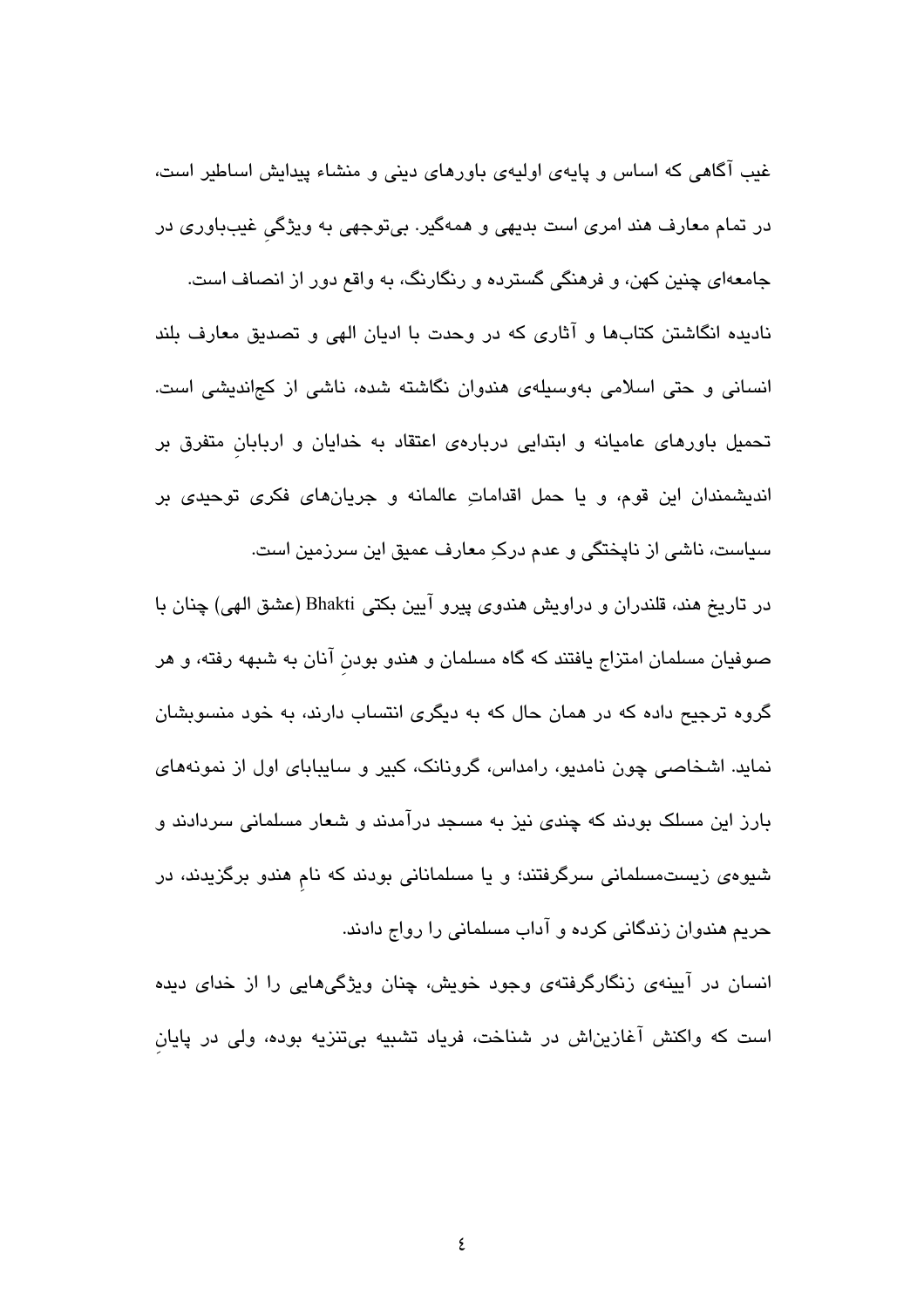غیب آگاهی که اساس و پایهی اولیهی باورهای دینی و منشاء پیدایش اساطیر است، در تمام معارف هند امری است بدیهی و همهگیر. بیتوجهی به ویژگی غیبباوری در جامعهای چنین کهن، و فرهنگی گسترده و رنگارنگ، به واقع دور از انصاف است. نادیده انگاشتن کتابها و آثاری که در وحدت با ادیان الهی و تصدیق معارف بلند انسانی و حتی اسلامی بهوسیلهی هندوان نگاشته شده، ناشی از کجاندیشی است. تحمیل باورهای عامیانه و ابتدایی دربارهی اعتقاد به خدایان و اربابان متفرق بر اندیشمندان این قوم، و یا حمل اقداماتِ عالمانه و جریانهای فکری توحیدی بر سیاست، ناشی از نایختگی و عدم درکِ معارف عمیق این سرزمین است.

در تاریخ هند، قلندران و دراویش هندوی پیرو آیین بکتی Bhakti (عشق الهی) چنان با صوفیان مسلمان امتزاج یافتند که گاه مسلمان و هندو بودن آنان به شبهه رفته، و هر گروه ترجیح داده که در همان حال که به دیگری انتساب دارند، به خود منسوبشان نماید. اشخاصی چون نامدیو، رامداس، گرونانک، کبیر و سایبابای اول از نمونههای بارز این مسلک بودند که چندی نیز به مسجد درآمدند و شعار مسلمانی سردادند و شیوهی زیستمسلمانی سرگرفتند؛ و یا مسلمانانی بودند که نام هندو برگزیدند، در حریم هندوان زندگانی کرده و آداب مسلمانی را رواج دادند.

انسان در آیینهی زنگارگرفتهی وجود خویش، چنان ویژگیهایی را از خدای دیده است که واکنش آغازیناش در شناخت، فریاد تشبیه بیتنزیه بوده، ولی در پایان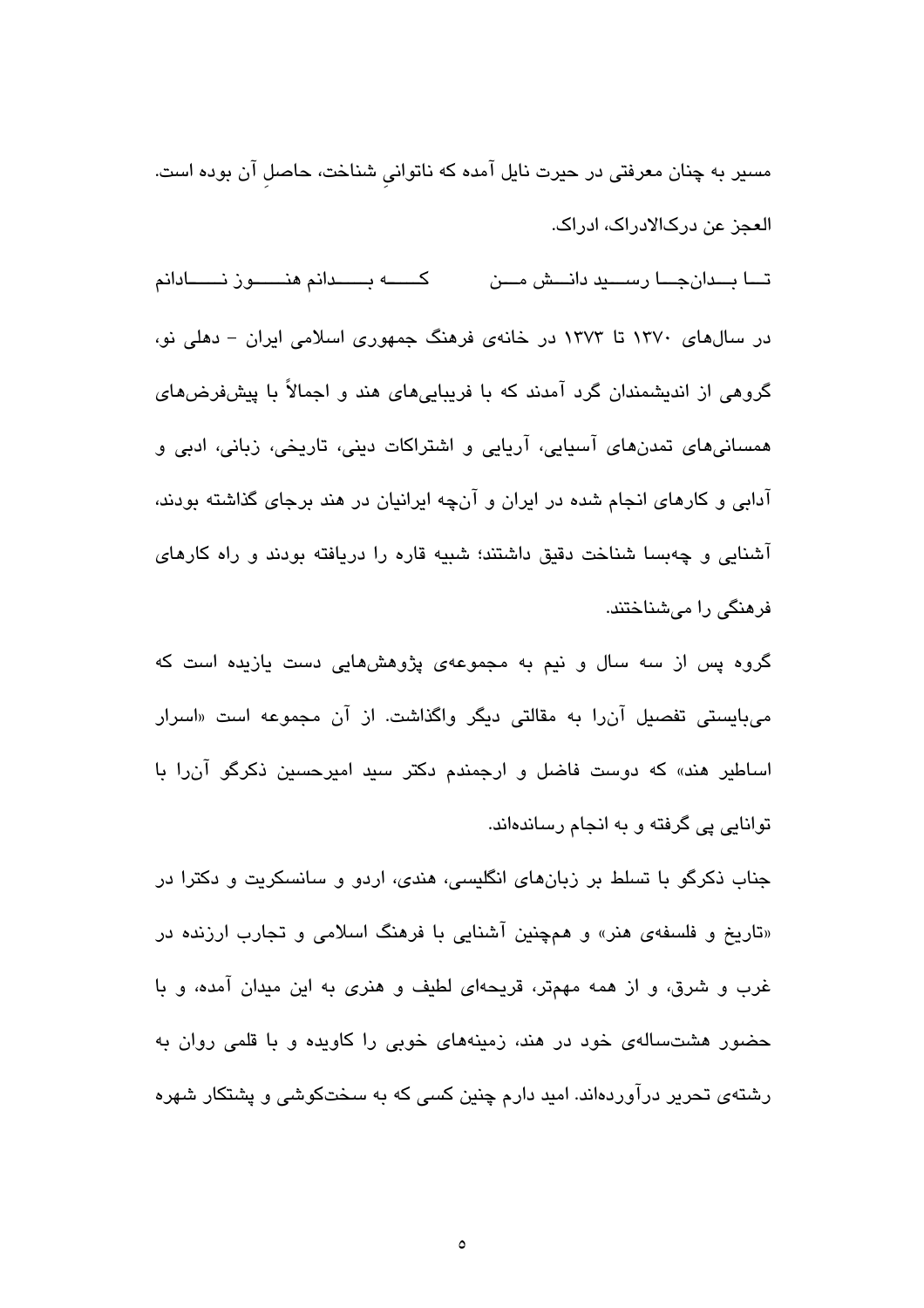مسیر به چنان معرفتی در حیرت نایل آمده که ناتوانی شناخت، حاصل آن بوده است. العجز عن درکالادراک، ادراک.

كــــــــــه بـــــــدانم هنــــــــون نـــــــادانم تـــا بـــدانِجـــا رســــيد دانـــش مـــن در سالهای ۱۳۷۰ تا ۱۳۷۳ در خانهی فرهنگ جمهوری اسلامی ایران – دهلی نو، گروهی از اندیشمندان گرد آمدند که با فریباییهای هند و اجمالاً با پیشفرضهای همسانیهای تمدنهای آسیایی، آریایی و اشتراکات دینی، تاریخی، زبانی، ادبی و آدابی و کارهای انجام شده در ایران و آنچه ایرانیان در هند برجای گذاشته بودند، آشنایی و چهبسا شناخت دقیق داشتند؛ شبیه قاره را دریافته بودند و راه کارهای فرهنگی را میشناختند.

گروه پس از سه سال و نیم به مجموعهی پژوهشهایی دست یازیده است که میبایستی تفصیل آنرا به مقالتی دیگر واگذاشت. از آن مجموعه است «اسرار اساطیر هند» که دوست فاضل و ارجمندم دکتر سید امیرحسین ذکرگو آن٫را با توانایی یی گرفته و به انجام رساندهاند.

جناب ذکرگو با تسلط بر زبانهای انگلیسی، هندی، اردو و سانسکریت و دکترا در «تاریخ و فلسفهی هنر» و همچنین آشنایی با فرهنگ اسلامی و تجارب ارزنده در غرب و شرق، و از همه مهمتر، قریحهای لطیف و هنری به این میدان آمده، و با حضور هشتسالهی خود در هند، زمینههای خوبی را کاویده و با قلمی روان به رشتهی تحریر درآوردهاند. امید دارم چنین کسی که به سختکوشی و پشتکار شهره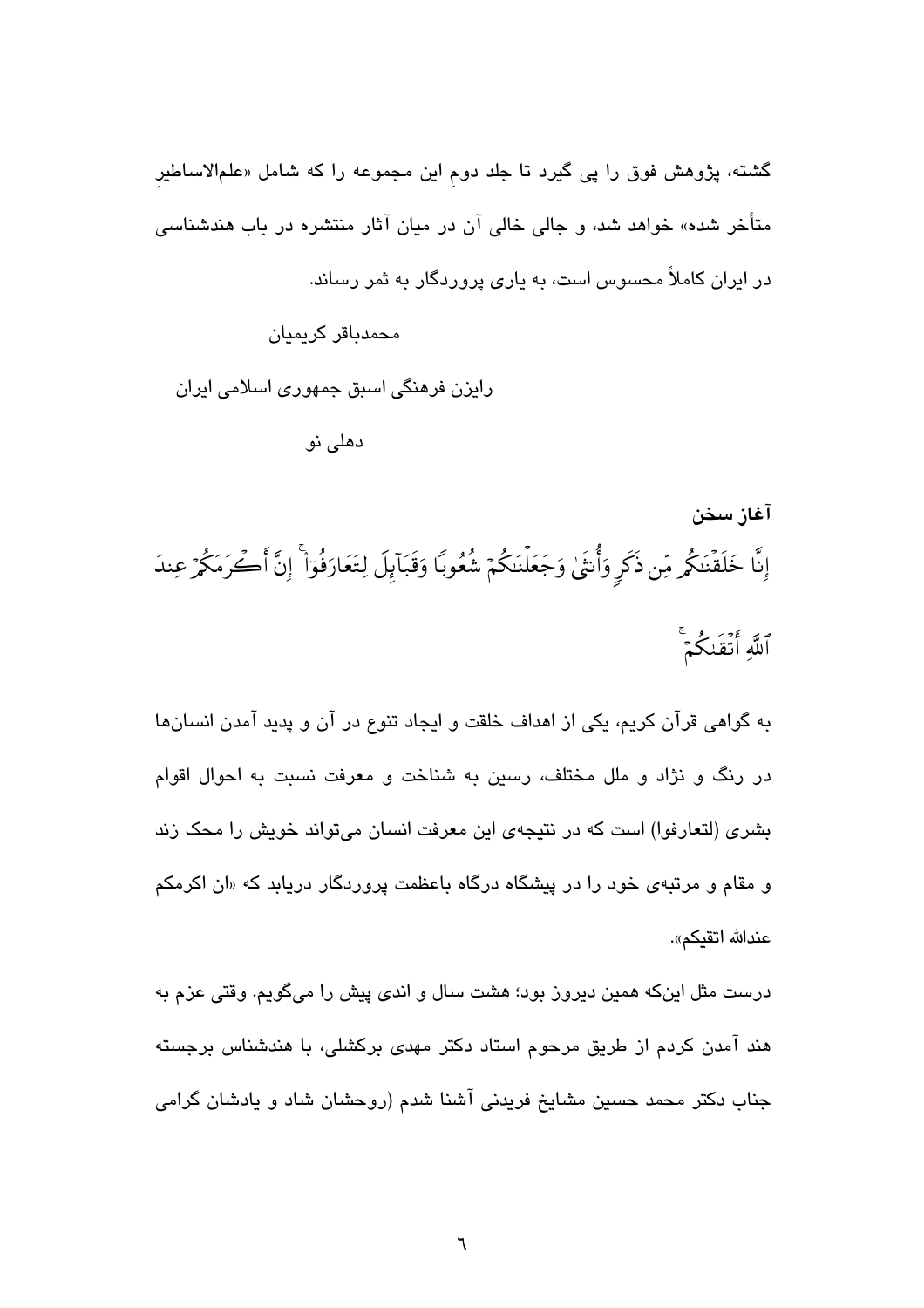گشته، پژوهش فوق را پی گیرد تا جلد دوم این مجموعه را که شامل «علمالاساطیرِ متأخر شده» خواهد شد، و جالی خالی آن در میان آثار منتشره در باب هندشناس*ی* در ایران کاملاً محسوس است، به پاری پروردگار به ثمر رساند.

محمدیاقر کر بمبان رایزن فرهنگی اسبق جمهوری اسلامی ایران دهلی نو

آغاز سخن إِنَّا خَلَقْنَكُمِ مِّن ذَكَرٍ وَأُنتَىٰ وَجَعَلْنَكُمْ شُعُوبًا وَقَبَآبِلَ لِتَعَارَفُوٓاْ ۚ إِنَّ أَكْرَمَكُمْ عِندَ ٱللَّهِ أَتَقَنكُمۡ ۚ

به گواهی قرآن کریم، یکی از اهداف خلقت و ایجاد تنوع در آن و پدید آمدن انسانها در رنگ و نژاد و ملل مختلف، رسین به شناخت و معرفت نسبت به احوال اقوام بشری (لتعارفوا) است که در نتیجهی این معرفت انسان میتواند خویش را محک زند و مقام و مرتبهی خود را در پیشگاه درگاه باعظمت پروردگار دریابد که «ان اکرمکم عندالله اتقيكم».

درست مثل اینکه همین دیروز بود؛ هشت سال و اندی پیش را میگویم. وقتی عزم به هند آمدن کردم از طریق مرحوم استاد دکتر مهدی برکشلی، با هندشناس برجسته جناب دکتر محمد حسین مشایخ فریدنی آشنا شدم (روحشان شاد و یادشان گرامی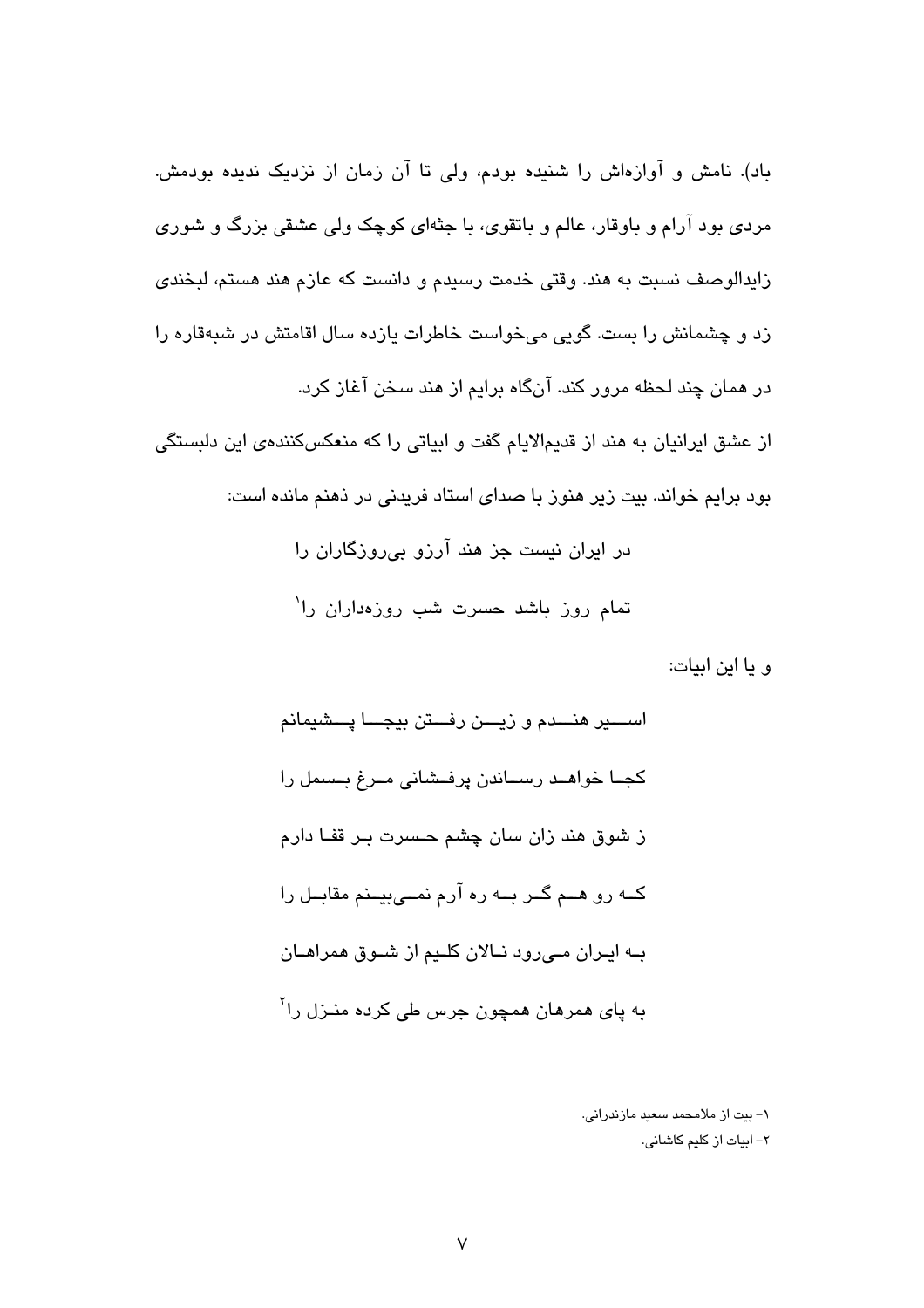باد). نامش و آوازهاش را شنیده بودم، ولی تا آن زمان از نزدیک ندیده بودمش. مردی بود آرام و باوقار، عالم و باتقوی، با جثهای کوچک ولی عشقی بزرگ و شوری زایدالوصف نسبت به هند. وقتی خدمت رسیدم و دانست که عازم هند هستم، لبخندی زد و چشمانش را بست. گویی میخواست خاطرات بازده سال اقامتش در شبهقاره را در همان چند لحظه مرور کند. آنگاه برایم از هند سـخن آغاز کرد. از عشق ایرانیان به هند از قدیمالایام گفت و ابیاتی را که منعکسکنندهی این دلبستگی بود برایم خواند. بیت زیر هنوز با صدای استاد فریدنی در ذهنم مانده است: در ایران نیست جز هند آرزو بی روزگاران را تمام روز باشد حسرت شب روزهداران را<sup>\</sup>

و يا اين ابيات:

اســــير هنـــدم و زيــــن رفـــتن بيجــــا پـــشيمانم كجــا خواهــد رســاندن پرفــشانی مــرغ بــسمل را ز شوق هند زان سان چشم حسرت بـر قفـا دارم کــه رو هــم گــر بــه ره آرم نمــیبیــنم مقابــل را بــه ابــران مـــ رود نــالان کلــدم از شــوق همراهــان به ڀا*ي* همرهان همچون جرس طي کرده منـزل را<sup>۲</sup>

١- بيت از ملامحمد سعيد مازندراني.

٢- ابيات از كليم كاشاني.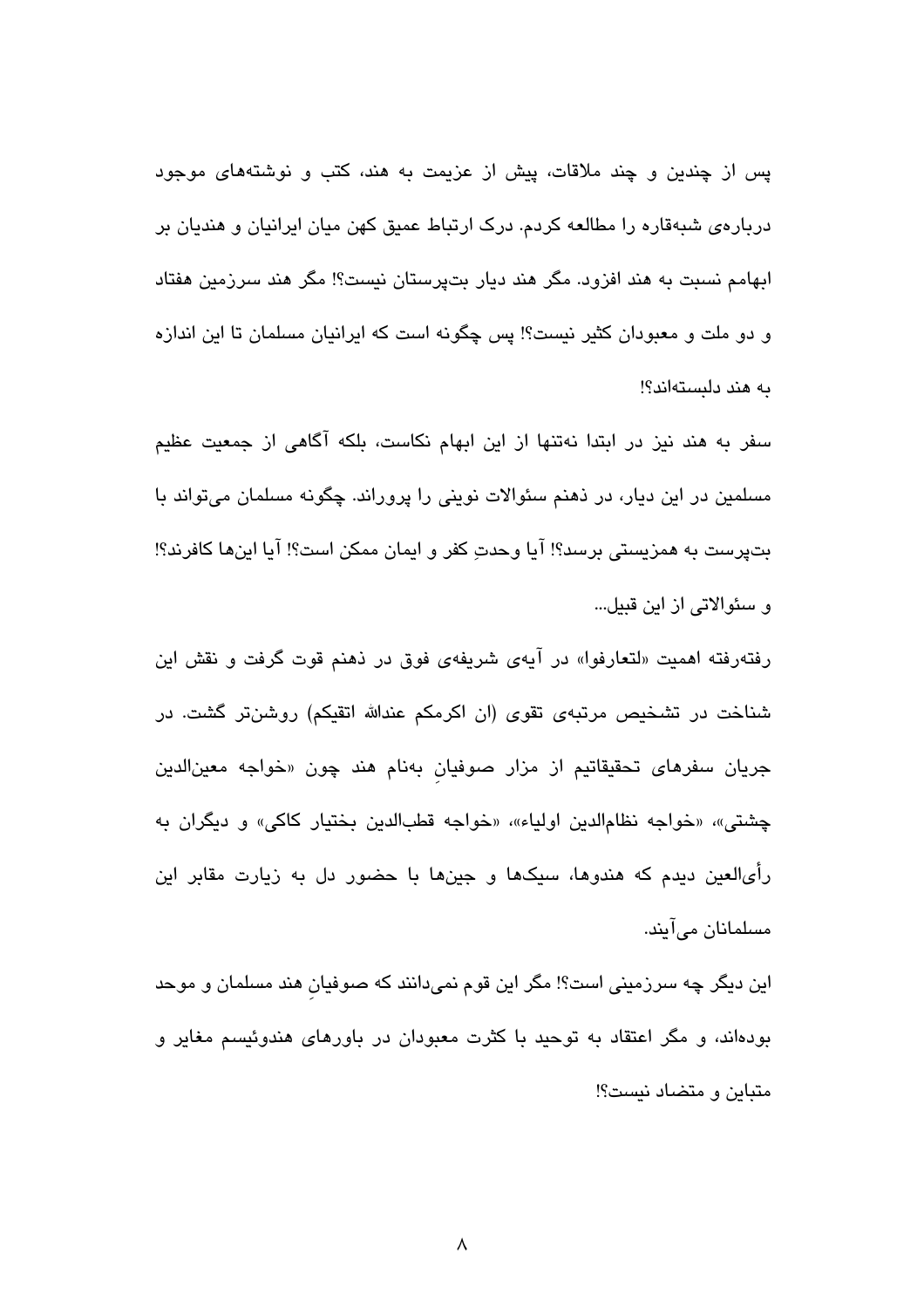پس از چندین و چند ملاقات، پیش از عزیمت به هند، کتب و نوشتههای موجود دربارهی شبهقاره را مطالعه کردم. درک ارتباط عمیق کهن میان ایرانیان و هندیان بر ابهامم نسبت به هند افزود. مگر هند دیار بتپرستان نیست؟! مگر هند سرزمین هفتاد و دو ملت و معبودان کثیر نیست؟! پس چگونه است که ایرانیان مسلمان تا این اندازه به هند دلبستهاند؟!

سفر به هند نیز در ابتدا نهتنها از این ابهام نکاست، بلکه آگاهی از جمعیت عظیم مسلمین در این دیار، در ذهنم سئوالات نوینی را پروراند. چگونه مسلمان میتواند با بتپرست به همزیستی برسد؟! آیا وحدتِ کفر و ایمان ممکن است؟! آیا اینها کافرند؟! و سئوالاتے از این قبیل…

رفتهرفته اهمیت «لتعارفوا» در آیهی شریفهی فوق در ذهنم قوت گرفت و نقش این شناخت در تشخیص مرتبهی تقوی (ان اکرمکم عندالله اتقیکم) روشنتر گشت. در جریان سفرها*ی* تحقیقاتیم از مزار صوفیان بهنام هند چون «خواجه معینالدین چشتی»، «خواجه نظامالدین اولیاء»، «خواجه قطبالدین بختیار کاکی» و دیگران به رأیالعین دیدم که هندوها، سیکها و جینها با حضور دل به زیارت مقابر این مسلمانان میآیند.

این دیگر چه سرزمینی است؟! مگر این قوم نمیدانند که صوفیان هند مسلمان و موحد بودهاند، و مگر اعتقاد به توحید با کثرت معبودان در باورهای هندوئیسم مغایر و متباین و متضاد نیست؟!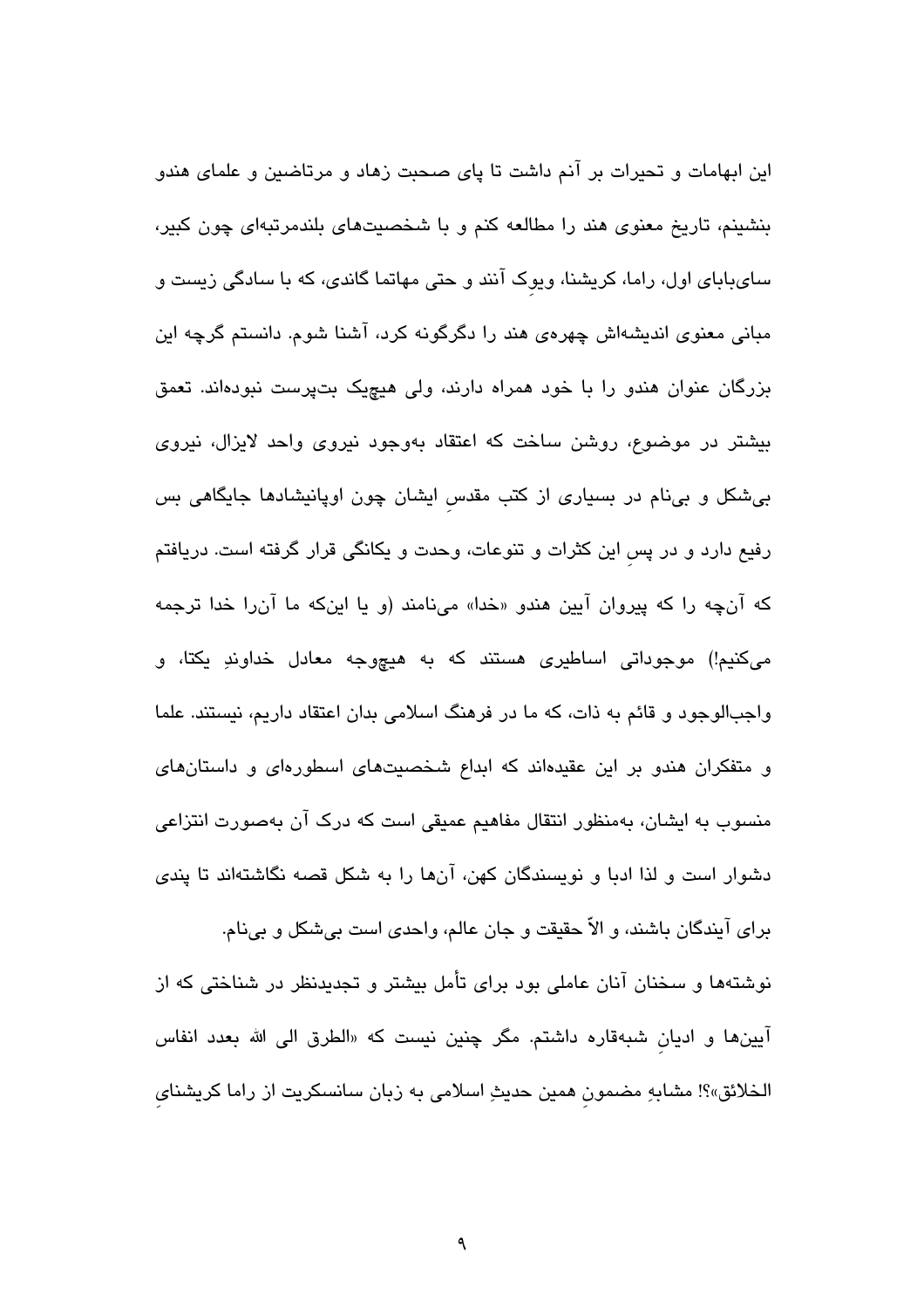این ابهامات و تحیرات بر آنم داشت تا پای صحبت زهاد و مرتاضین و علمای هندو بنشینم، تاریخ معنوی هند را مطالعه کنم و با شخصیتهای بلندمرتبهای چون کبیر، سایبابای اول، راما، کریشنا، ویوک آنند و حتی مهاتما گاندی، که با سادگی زیست و مبانی معنوی اندیشهاش چهرهی هند را دگرگونه کرد، آشنا شوم. دانستم گرچه این بزرگان عنوان هندو را با خود همراه دارند، ولی هیچیک بتپرست نبودهاند. تعمق بیشتر در موضوع، روشن ساخت که اعتقاد بهوجود نیروی واحد لایزال، نیروی بی شکل و بینام در بسیاری از کتب مقدس ایشان چون اوپانیشادها جایگاهی بس رفیع دارد و در پس این کثرات و تنوعات، وحدت و یکانگی قرار گرفته است. دریافتم که آنچه را که پیروان آیین هندو «خدا» مینامند (و یا اینکه ما آن٫را خدا ترجمه میکنیم!) موجوداتی اساطیری هستند که به هیچوجه معادل خداوندِ یکتا، و واجبالوجود و قائم به ذات، که ما در فرهنگ اسلامی بدان اعتقاد داریم، نیستند. علما و متفکران هندو بر این عقیدهاند که ابداع شخصیتهای اسطورهای و داستانهای منسوب به ایشان، بهمنظور انتقال مفاهیم عمیقی است که درک آن بهصورت انتزاعی دشوار است و لذا ادبا و نویسندگان کهن، آنها را به شکل قصه نگاشتهاند تا پندی

برای آیندگان باشند، و الاّ حقیقت و جان عالم، واحدی است بیشکل و بینام. نوشتهها و سخنان آنان عاملی بود برای تأمل بیشتر و تجدیدنظر در شناختی که از آیینها و ادیان شبهقاره داشتم. مگر چنین نیست که «الطرق الی الله بعدد انفاس الخلائق»؟! مشابهِ مضمون همین حدیثِ اسلامی به زبان سانسکریت از راما کریشنای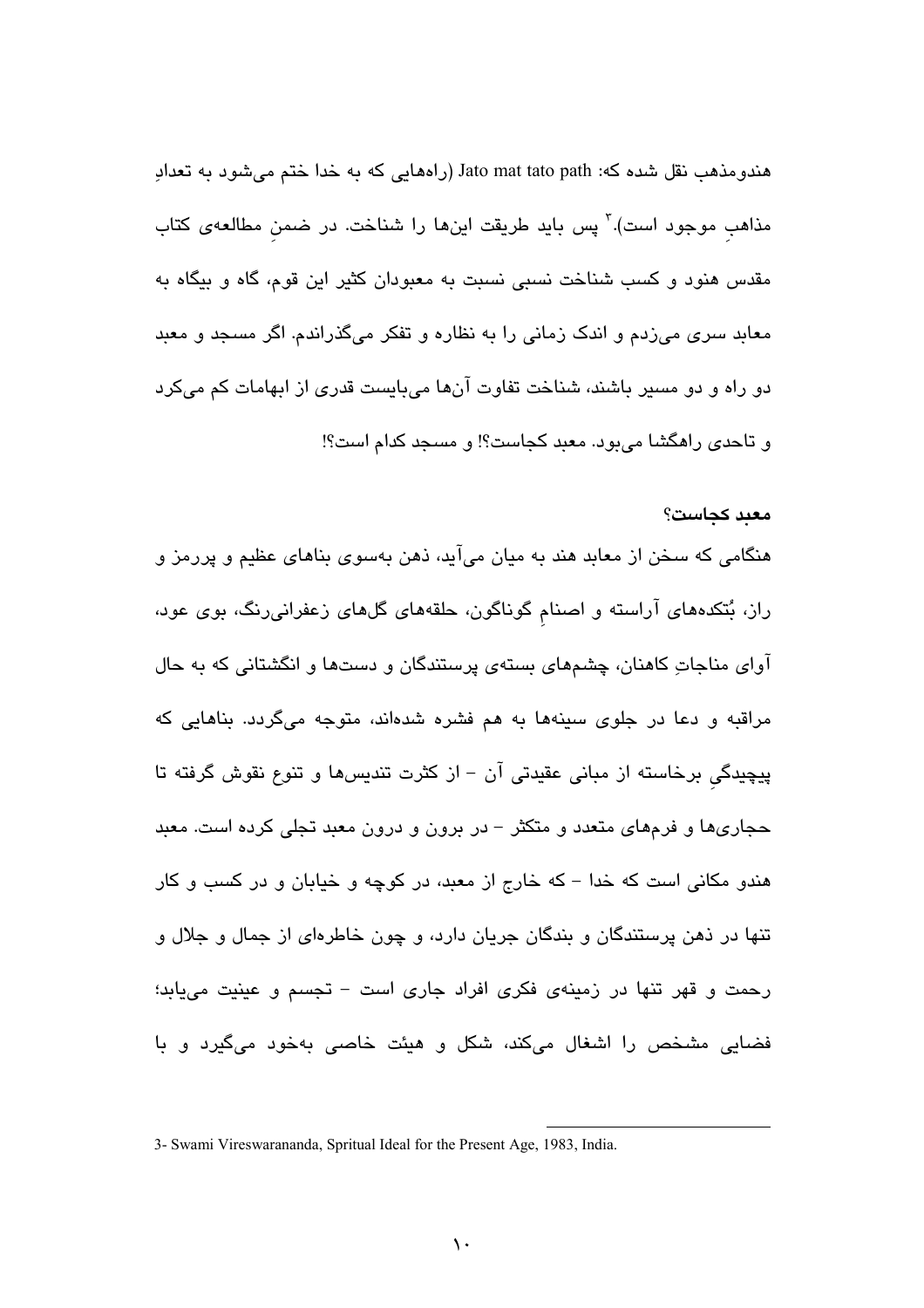هندومذهب نقل شده که: Jato mat tato path (راههایی که به خدا ختم میشود به تعدادِ مذاهب موجود است).<sup>۳</sup> پس باید طریقت اینها را شناخت. در ضمن مطالعهی کتاب مقدس هنود و کسب شناخت نسبی نسبت به معبودان کثیر این قوم، گاه و بیگاه به معابد سری میزدم و اندک زمانی را به نظاره و تفکر میگذراندم. اگر مسجد و معبد دو راه و دو مسیر باشند، شناخت تفاوت آنها میبایست قدری از ابهامات کم میکرد و تاحدی راهگشا میبود. معبد کجاست؟! و مسجد کدام است؟!

معىد كجاست؟

## هنگامی که سخن از معابد هند به میان میآید، ذهن بهسوی بناهای عظیم و پررمز و راز، بُتکدههای آراسته و اصنام گوناگون، حلقههای گلهای زعفرانی رنگ، بوی عود، آوای مناجاتِ کاهنان، چشمهای بستهی پرستندگان و دستها و انگشتانی که به حال مراقبه و دعا در جلوی سینهها به هم فشره شدهاند، متوجه میگردد. بناهایی که پیچیدگی برخاسته از مبانی عقیدتی آن – از کثرت تندیسها و تنوع نقوش گرفته تا حجاریها و فرمهای متعدد و متکثر – در برون و درون معبد تجلی کرده است. معبد هندو مکانی است که خدا – که خارج از معبد، در کوچه و خیابان و در کسب و کار تنها در ذهن پرستندگان و بندگان جریان دارد، و چون خاطرهای از جمال و جلال و رحمت و قهر تنها در زمینهی فکری افراد جاری است – تجسم و عینیت میبابد؛ فضایی مشخص را اشغال میکند، شکل و هیئت خاصی بهخود میگیرد و با

<sup>3-</sup> Swami Vireswarananda, Spritual Ideal for the Present Age, 1983, India.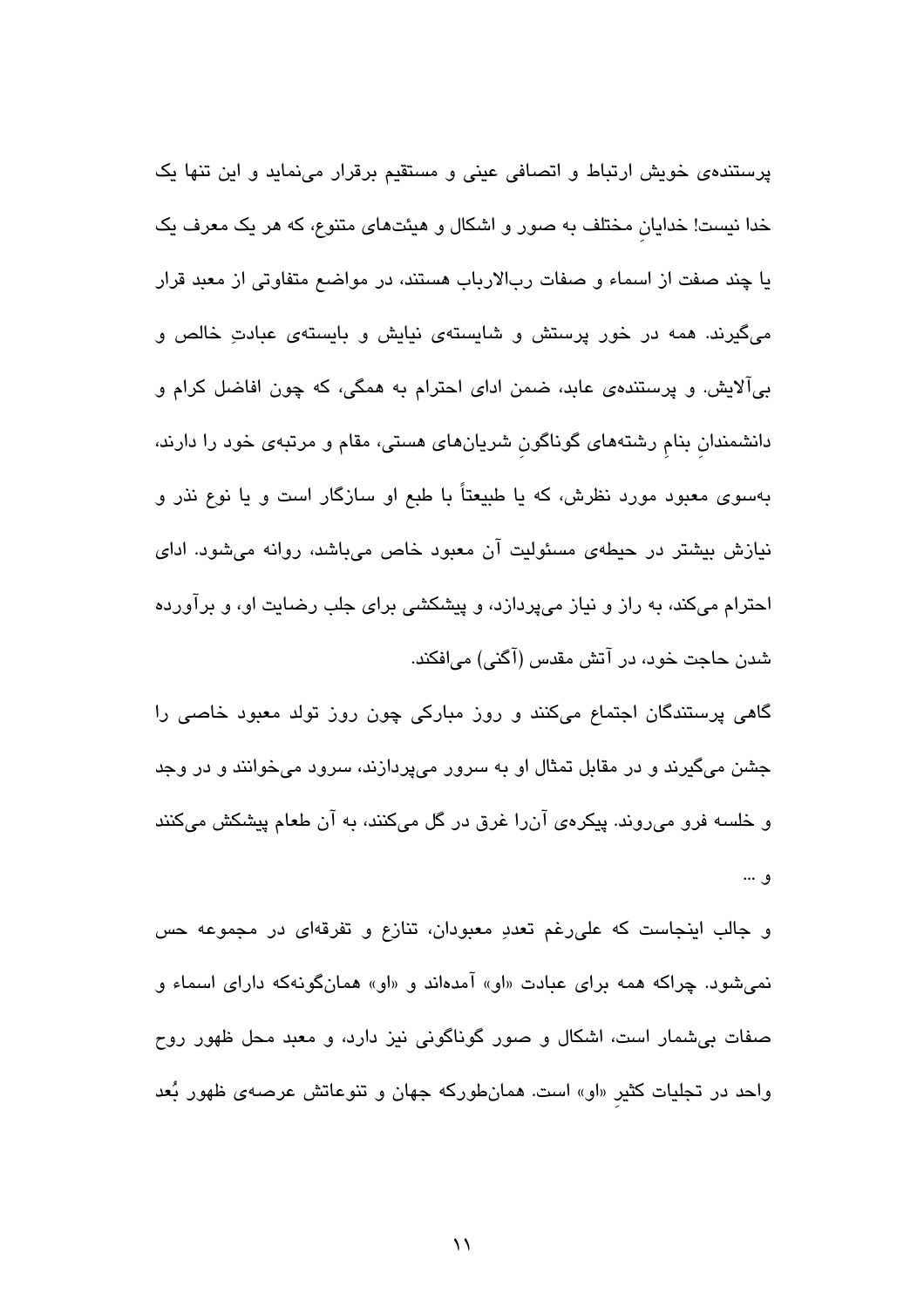پرستندهی خویش ارتباط و اتصافی عینی و مستقیم برقرار مینماید و این تنها یک خدا نیست! خدایان مختلف به صور و اشکال و هیئتهای متنوع، که هر یک معرف یک يا چند صفت از اسماء و صفات ربالارباب هستند، در مواضع متفاوتی از معبد قرار میگیرند. همه در خور پرستش و شایستهی نیایش و بایستهی عبادتِ خالص و بیآلایش. و پرستندهی عابد، ضمن ادای احترام به همگی، که چون افاضل کرام و دانشمندان بنام رشتههای گوناگون شریانهای هستی، مقام و مرتبهی خود را دارند، بهسوی معبود مورد نظرش، که یا طبیعتاً با طبع او سازگار است و یا نوع نذر و نیازش بیشتر در حیطهی مسئولیت آن معبود خاص میباشد، روانه میشود. ادای احترام میکند، به راز و نیاز میپردازد، و پیشکشی برای جلب رضایت او، و برآورد<mark>ه</mark> شدن حاجت خود، در آتش مقدس (آگنی) میافکند.

گاهی پرستندگان اجتماع میکنند و روز مبارکی چون روز تولد معبود خاصی را جشن میگیرند و در مقابل تمثال او به سرور میپردازند، سرود میخوانند و در وجد و خلسه فرو میروند. پیکرهی آنررا غرق در گل میکنند، به آن طعام پیشکش میکنند ق …

و جالب اینجاست که علی رغم تعددِ معبودان، تنازع و تفرقهای در مجموعه حس نمیشود. چراکه همه برای عبادت «او» آمدهاند و «او» همانگونهکه دارای اسماء و صفات بی شمار است، اشکال و صور گوناگونی نیز دارد، و معبد محل ظهور روح واحد در تجلیات کثیر «او» است. همانطورکه جهان و تنوعاتش عرصهی ظهور بُعد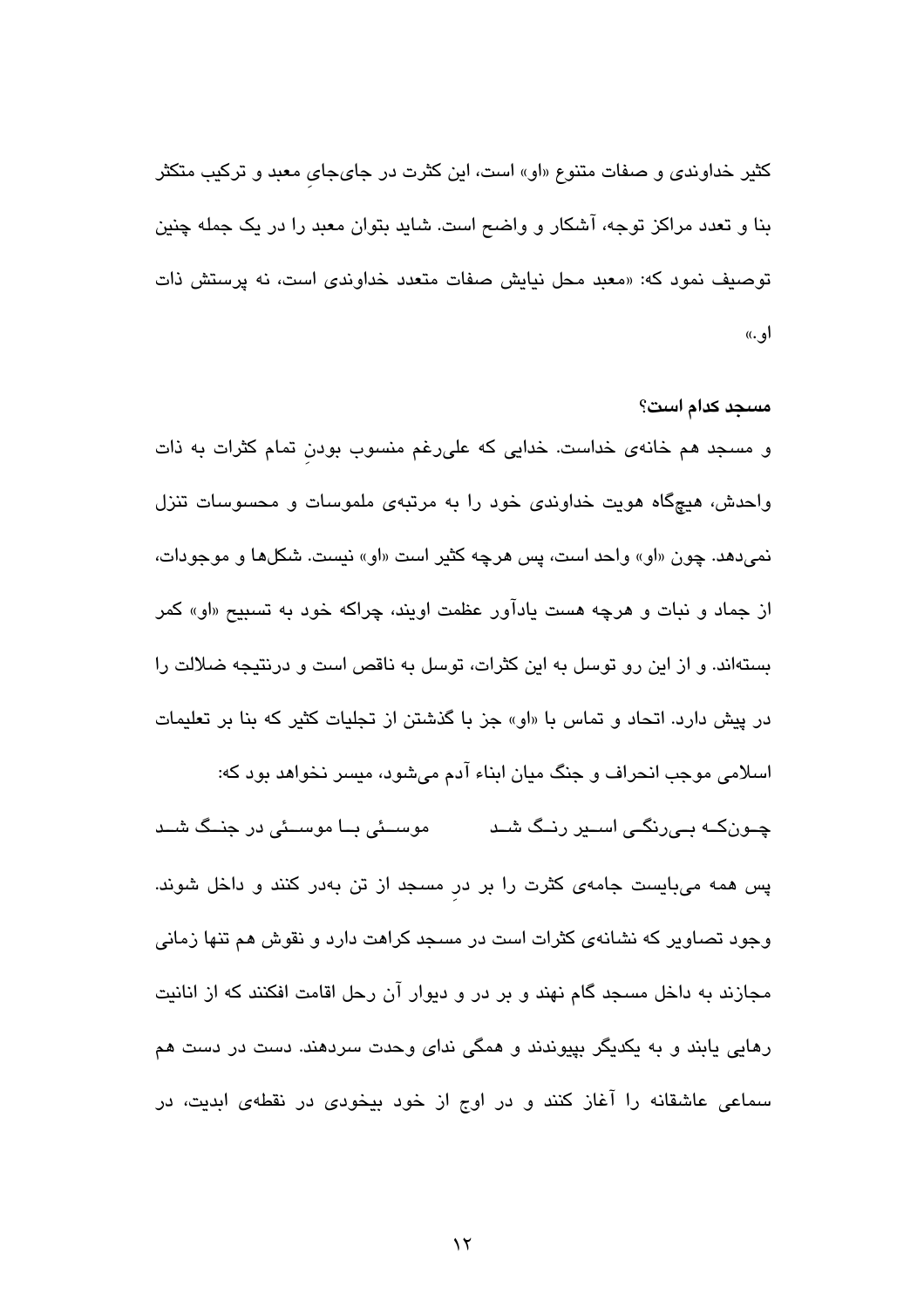توصيف نمود كه: «معبد محل نيايش صفات متعدد خداوندي است، نه پرستش ذات او ..) مسجد كدام است؟ و مسجد هم خانهی خداست. خدایی که علی رغم منسوب بودن تمام کثرات به ذات واحدش، هیچگاه هویت خداوندی خود را به مرتبهی ملموسات و محسوسات تنزل

نميدهد. چون «او» واحد است، پس هرچه کثیر است «او» نیست. شکلها و موجودات،

از جماد و نبات و هرچه هست یادآور عظمت اویند، چراکه خود به تسبیح «او» کمر

بستهاند. و از این رو توسل به این کثرات، توسل به ناقص است و درنتیجه ضلالت را

کثیر خداوند*ی* و صفات متنوع «او» است، این کثرت در جایجای معبد و ترکیب متکثر

بنا و تعدد مراکز توجه، آشکار و واضح است. شاید بتوان معبد را در یک جمله چنین

در پیش دارد. اتحاد و تماس با «او» جز با گذشتن از تجلیات کثیر که بنا بر تعلیمات اسلامی موجب انحراف و جنگ میان ابناء آدم میشود، میسر نخواهد بود که: چــونکــه بــے،رنگــی اســیر رنــگ شــد موســئی بــا موســئی در جنــگ شــد پس همه میبایست جامهی کثرت را بر در مسجد از تن بهدر کنند و داخل شوند. وجود تصاویر که نشانهی کثرات است در مسجد کراهت دارد و نقوش هم تنها زمانی مجازند به داخل مسجد گام نهند و بر در و دیوار آن رحل اقامت افکنند که از انانیت رهایی یابند و به یکدیگر بپیوندند و همگی ندای وحدت سردهند. دست در دست هم سماعی عاشقانه را آغاز کنند و در اوج از خود بیخودی در نقطهی ابدیت، در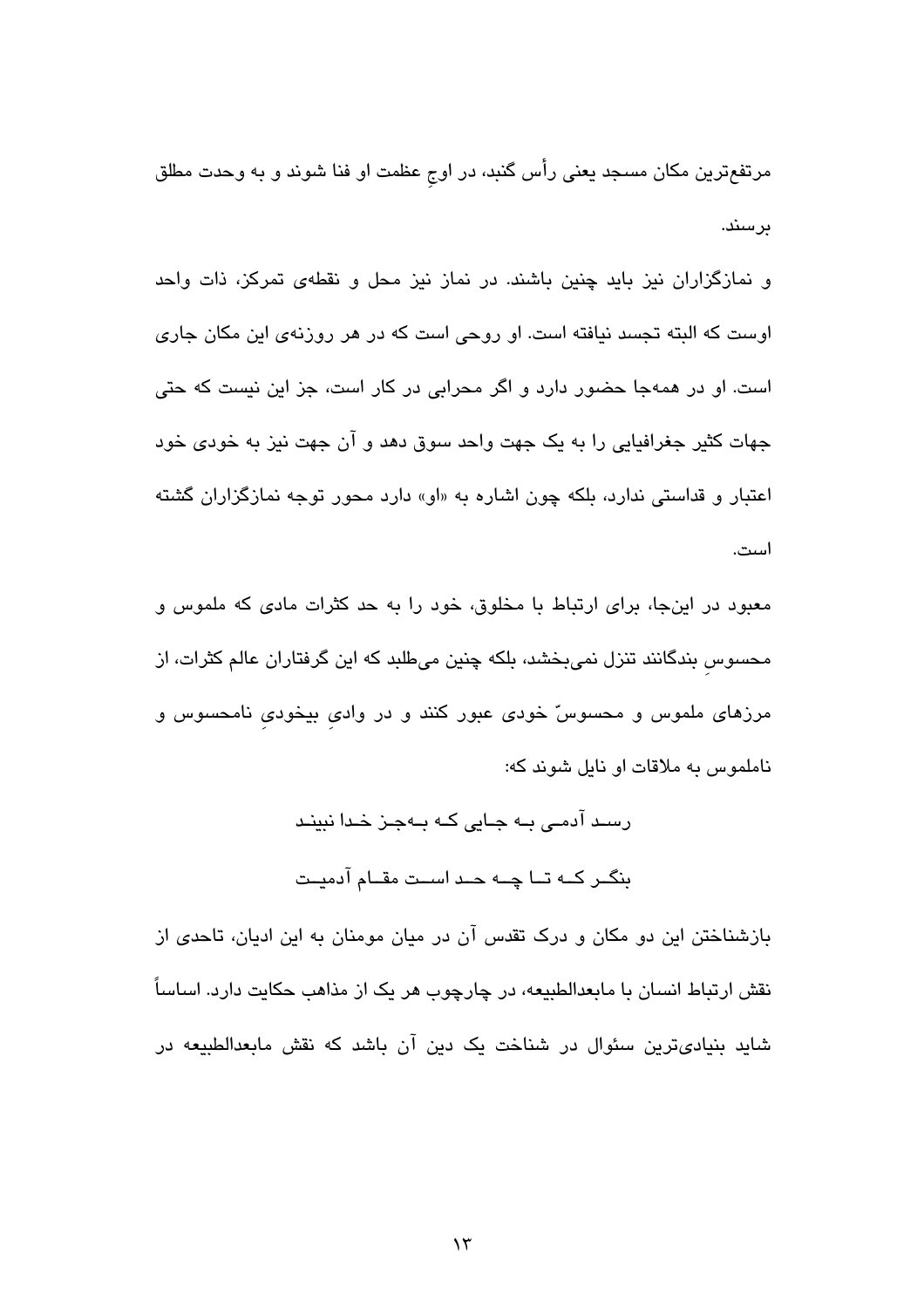مرتفعترین مکان مسجد یعنی رأس گنبد، در اوج عظمت او فنا شوند و به وحدت مطلق ىرسند.

و نمازگزاران نیز باید چنین باشند. در نماز نیز محل و نقطهی تمرکز، ذات واحد اوست که البته تجسد نیافته است. او روحی است که در هر روزنهی این مکان جاری است. او در همهجا حضور دارد و اگر محرابی در کار است، جز این نیست که حتی جهات کثیر جغرافیایی را به یک جهت واحد سوق دهد و آن جهت نیز به خودی خود اعتبار و قداستی ندارد، بلکه چون اشاره به «او» دارد محور توجه نمازگزاران گشته است.

معبود در اینجا، برای ارتباط با مخلوق، خود را به حد کثرات مادی که ملموس و محسوس بندگانند تنزل نمیبخشد، بلکه چنین میطلبد که این گرفتاران عالم کثرات، از مرزهای ملموس و محسوسّ خودی عبور کنند و در وادی بیخودی نامحسوس و ناملموس به ملاقات او نايل شوند كه:

> رسٹ آدمے، بــه جـایی کــه بــهجـز خـدا نبینـد بنگــر كــه تــا چــه حــد اســت مقــام آدميــت

بازشناختن این دو مکان و درک تقدس آن در میان مومنان به این ادیان، تاحدی از نقش ارتباط انسان با مابعدالطبیعه، در چارچوب هر یک از مذاهب حکایت دارد. اساساً شاید بنیادیترین سئوال در شناخت یک دین آن باشد که نقش مابعدالطبیعه در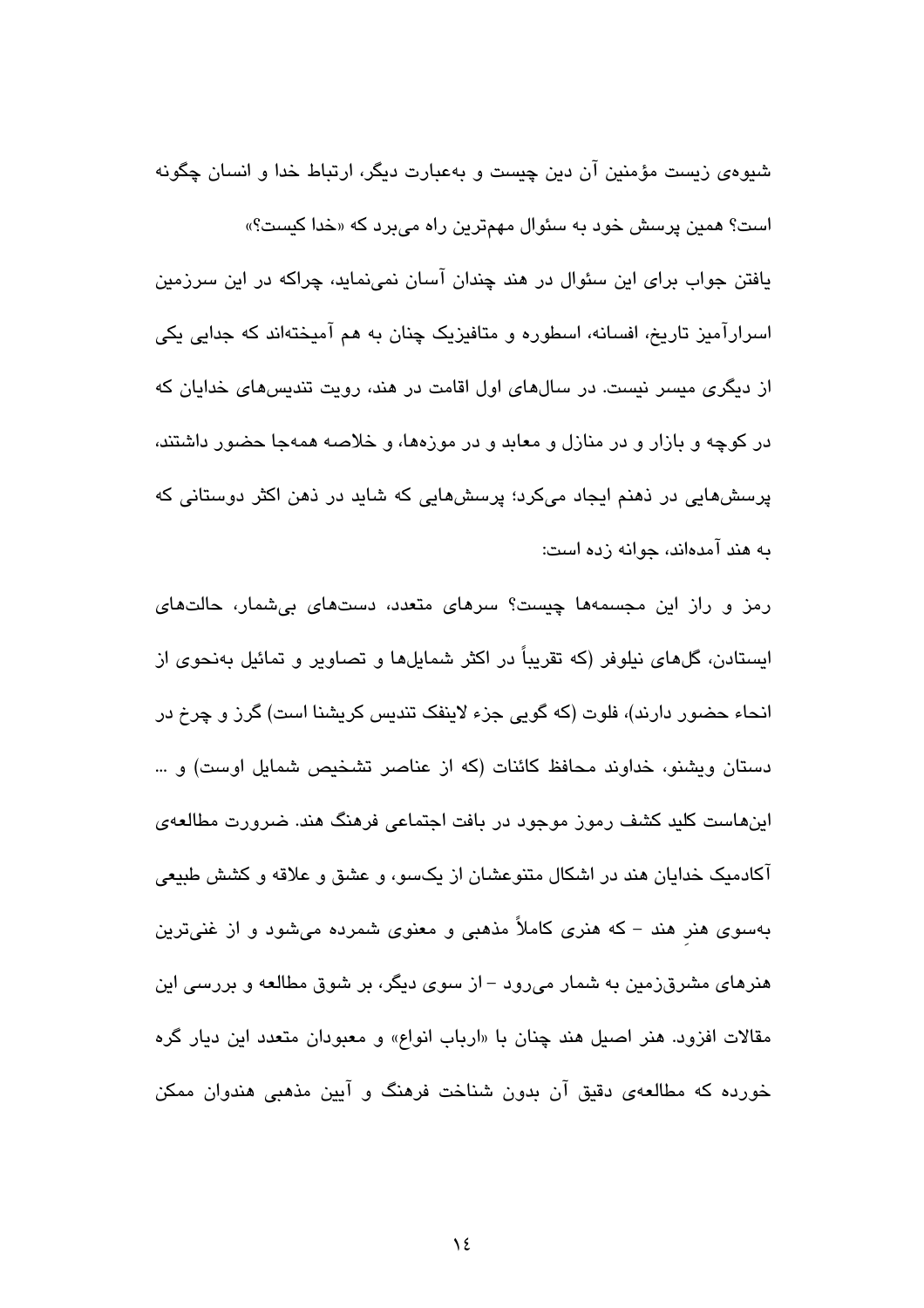شیوهی زیست مؤمنین آن دین چیست و بهعبارت دیگر، ارتباط خدا و انسان چگونه است؟ همین پرسش خود به سئوال مهمترین راه میبرد که «خدا کیست؟» یافتن جواب برای این سئوال در هند چندان آسان نمی،نماید، چراکه در این سرزمین اسرارآمیز تاریخ، افسانه، اسطوره و متافیزیک چنان به هم آمیختهاند که جدایی یکی از دیگری میسر نیست. در سالهای اول اقامت در هند، رویت تندیسهای خدایان که در کوچه و بازار و در منازل و معابد و در موزهها، و خلاصه همهجا حضور داشتند، پرسشهایی در ذهنم ایجاد میکرد؛ پرسشهایی که شاید در ذهن اکثر دوستانی که به هند آمدهاند، جوانه زده است:

رمز و راز این مجسمهها چیست؟ سرهای متعدد، دستهای بی شمار، حالتهای ایستادن، گلهای نیلوفر (که تقریباً در اکثر شمایلها و تصاویر و تمائیل بهنحوی از انحاء حضور دارند)، فلوت (که گویی جزء لاینفک تندیس کریشنا است) گرز و چرخ در دستان ویشنو، خداوند محافظ کائنات (که از عناصر تشخیص شمایل اوست) و … اینهاست کلید کشف رموز موجود در بافت اجتماعی فرهنگ هند. ضرورت مطالعهی آکادمیک خدایان هند در اشکال متنوعشان از یکسو، و عشق و علاقه و کشش طبیعی بهسوی هنر هند – که هنری کاملاً مذهبی و معنوی شمرده میشود و از غنیترین هنرهای مشرق;زمین به شمار می٫رود – از سوی دیگر، بر شوق مطالعه و بررسی این مقالات افزود. هنر اصیل هند چنان با «ارباب انواع» و معبودان متعدد این دیار گره خورده که مطالعهی دقیق آن بدون شناخت فرهنگ و آیین مذهبی هندوان ممکن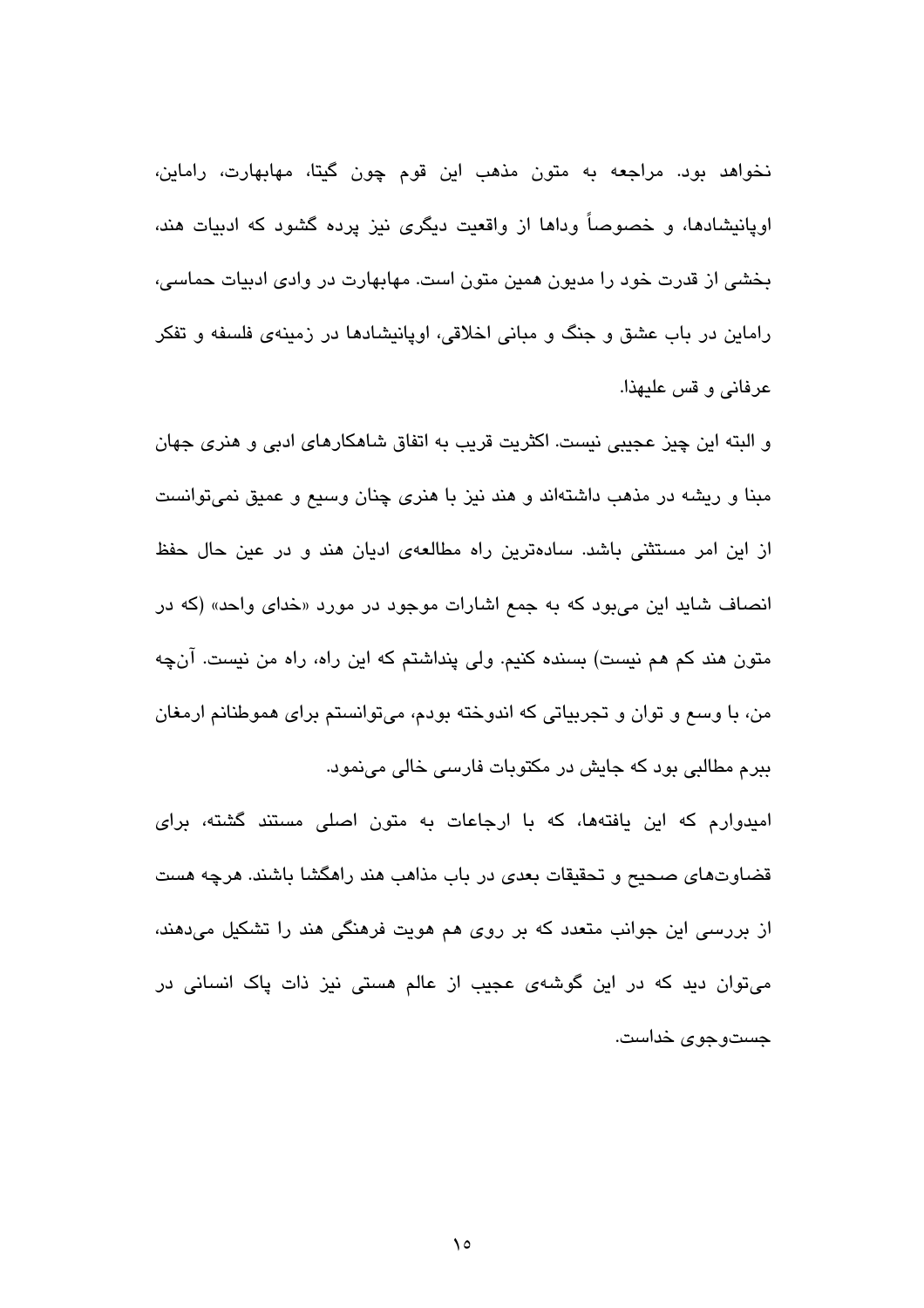نخواهد بود. مراجعه به متون مذهب این قوم چون گیتا، مهابهارت، راماین، اوپانیشادها، و خصوصاً وداها از واقعیت دیگری نیز پرده گشود که ادبیات هند، بخشی از قدرت خود را مدیون همین متون است. مهابهارت در وادی ادبیات حماسی، راماین در باب عشق و جنگ و مبانی اخلاقی، اوپانیشادها در زمینهی فلسفه و تفکر عرفانی و قس علیهذا.

و البته این چیز عجیبی نیست. اکثریت قریب به اتفاق شاهکارهای ادبی و هنری جهان مبنا و ریشه در مذهب داشتهاند و هند نیز با هنری چنان وسیع و عمیق نمی،توانست از این امر مستثنی باشد. سادهترین راه مطالعهی ادیان هند و در عین حال حفظ انصاف شاید این میبود که به جمع اشارات موجود در مورد «خدای واحد» (که در متون هند کم هم نیست) بسنده کنیم. ولی پنداشتم که این راه، راه من نیست. آنچه من، با وسع و توان و تجربیاتی که اندوخته بودم، میتوانستم برای هموطنانم ارمغان ببرم مطالبی بود که جایش در مکتوبات فارسی خالی مینمود.

امیدوارم که این یافتهها، که با ارجاعات به متون اصلی مستند گشته، برای قضاوتهای صحیح و تحقیقات بعدی در باب مذاهب هند راهگشا باشند. هرچه هست از بررسی این جوانب متعدد که بر روی هم هویت فرهنگی هند را تشکیل میدهند، می،توان دید که در این گوشهی عجیب از عالم هستی نیز ذات پاک انسانی در جستوجوی خداست.

 $\lambda$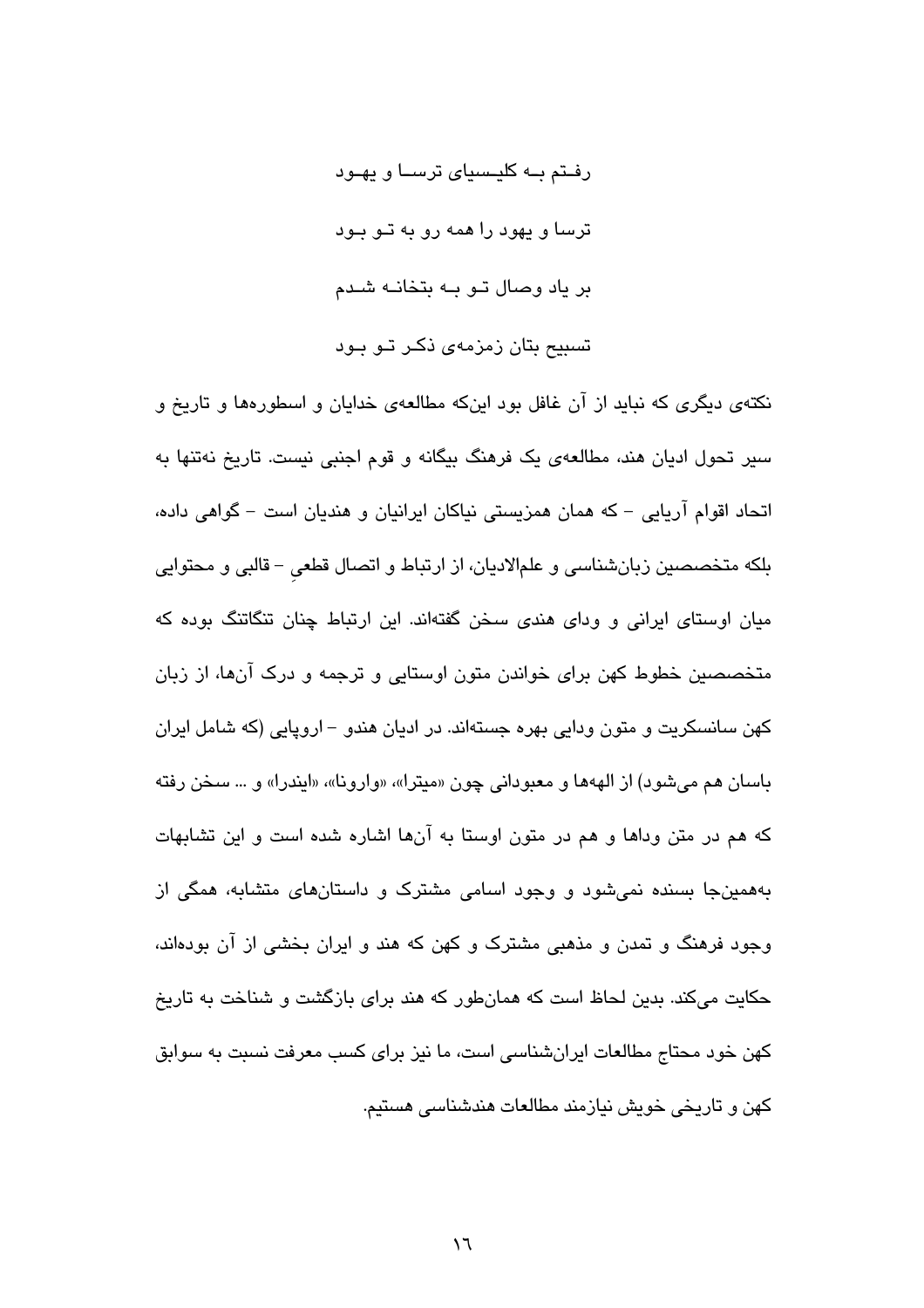رفـتم بــه کلیــسیای ترســا و یهــود ترسا و بهود را همه رو به تبو ببود بر یاد وصال تـو بـه بتخانـه شـدم تسبیح بتان زمزمهی ذکـر تـو بـود

نکتهی دیگری که نباید از آن غافل بود اینکه مطالعهی خدایان و اسطورهها و تاریخ و سیر تحول ادیان هند، مطالعهی یک فرهنگ بیگانه و قوم اجنبی نیست. تاریخ نهتنها به اتحاد اقوام آریایی – که همان همزیستی نیاکان ایرانیان و هندیان است – گواهی داده، بلکه متخصصین زبانشناسی و علمالادیان، از ارتباط و اتصال قطعی – قالبی و محتوایی میان اوستای ایرانی و ودای هندی سخن گفتهاند. این ارتباط چنان تنگاتنگ بوده که متخصصین خطوط کهن برای خواندن متون اوستایی و ترجمه و درک آنها، از زبان کهن سانسکریت و متون ودایی بهره جستهاند. در ادیان هندو – اروپایی (که شامل ایران باسان هم مي شود) از الههها و معبوداني چون «ميترا»، «وارونا»، «ايندرا» و … سخن رفته که هم در متن وداها و هم در متون اوستا به آنها اشاره شده است و این تشابهات بههمینجا بسنده نمیشود و وجود اسامی مشترک و داستانهای متشابه، همگی از وجود فرهنگ و تمدن و مذهبی مشترک و کهن که هند و ایران بخشی از آن بودهاند، حکایت میکند. بدین لحاظ است که همانطور که هند برای بازگشت و شناخت به تاریخ کهن خود محتاج مطالعات ایرانشناسی است، ما نیز برای کسب معرفت نسبت به سوابق کهن و تاریخی خویش نیازمند مطالعات هندشناسی هستیم.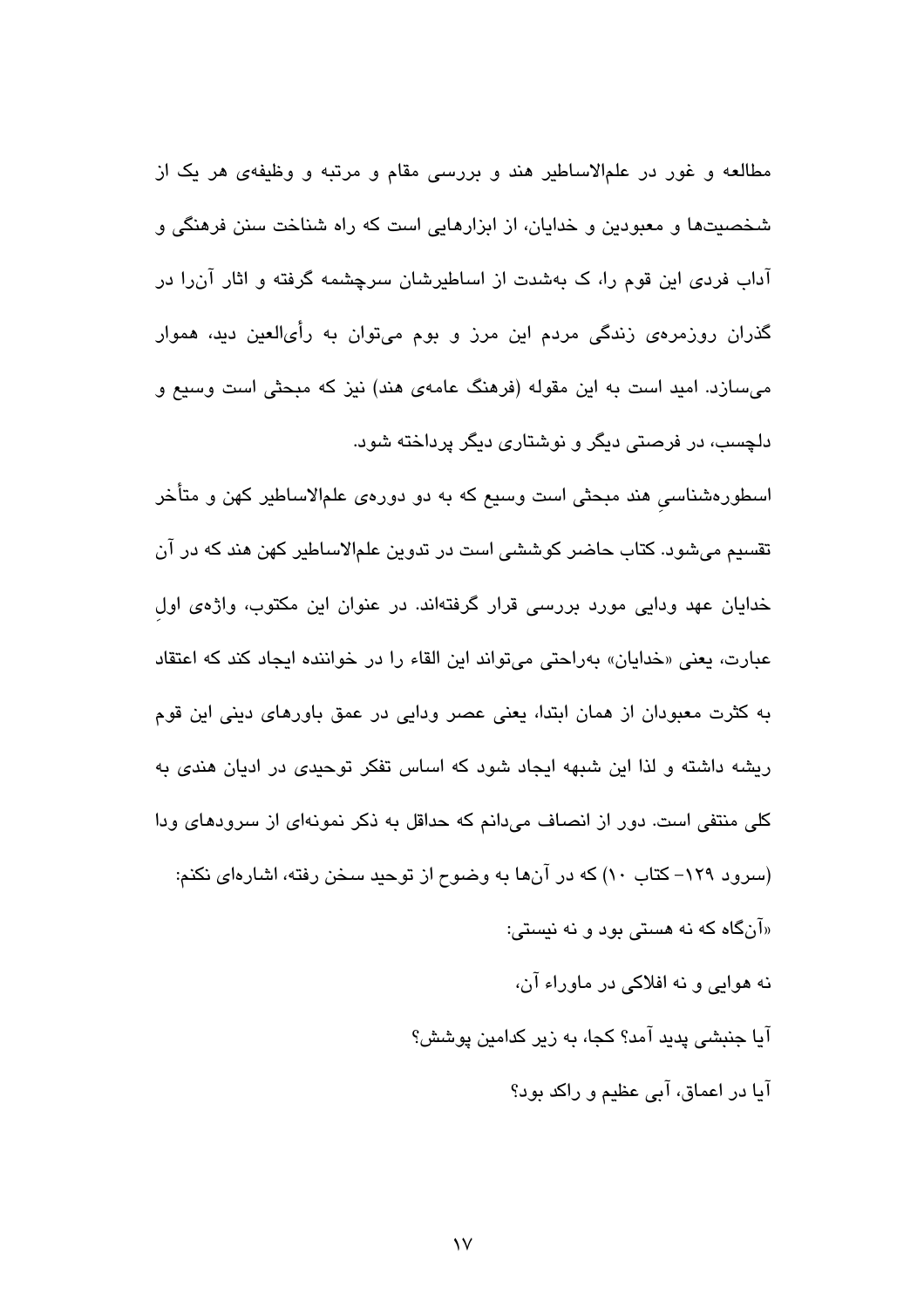مطالعه و غور در علمالاساطیر هند و بررسی مقام و مرتبه و وظیفهی هر یک از شخصیتها و معبودین و خدایان، از ابزارهایی است که راه شناخت سنن فرهنگی و آداب فردی این قوم را، ک بهشدت از اساطیرشان سرچشمه گرفته و اثار آن را در گذران روزمرهی زندگی مردم این مرز و بوم میتوان به رأیالعین دید، هموار میسازد. امید است به این مقوله (فرهنگ عامهی هند) نیز که مبحثی است وسیع و دلچسب، در فرصتی دیگر و نوشتاری دیگر پرداخته شود.

اسطورهشناسی هند مبحثی است وسیع که به دو دورهی علمالاساطیر کهن و متأخر تقسیم می،شود. کتاب حاضر کوششی است در تدوین علمالاساطیر کهن هند که در آن خدایان عهد ودایی مورد بررسی قرار گرفتهاند. در عنوان این مکتوب، واژهی اول عبارت، يعني «خدايان» بهراحتي مي تواند اين القاء را در خواننده ايجاد كند كه اعتقاد به کثرت معبودان از همان ابتدا، یعنی عصر ودایی در عمق باورهای دینی این قوم ریشه داشته و لذا این شبهه ایجاد شود که اساس تفکر توحیدی در ادیان هندی به کلی منتفی است. دور از انصاف می،دانم که حداقل به ذکر نمونهای از سرودهای ودا (سرود ۱۲۹– کتاب ۱۰) که در آنها به وضوح از توحید سخن رفته، اشارهای نکنم: «آنگاه که نه هستی بود و نه نیستی:

نه هوايي و نه افلاكي در ماوراء آن، آيا جنبشي پديد آمد؟ کجا، به زير کدامين پوشش؟ آیا در اعماق، آبی عظیم و راکد بود؟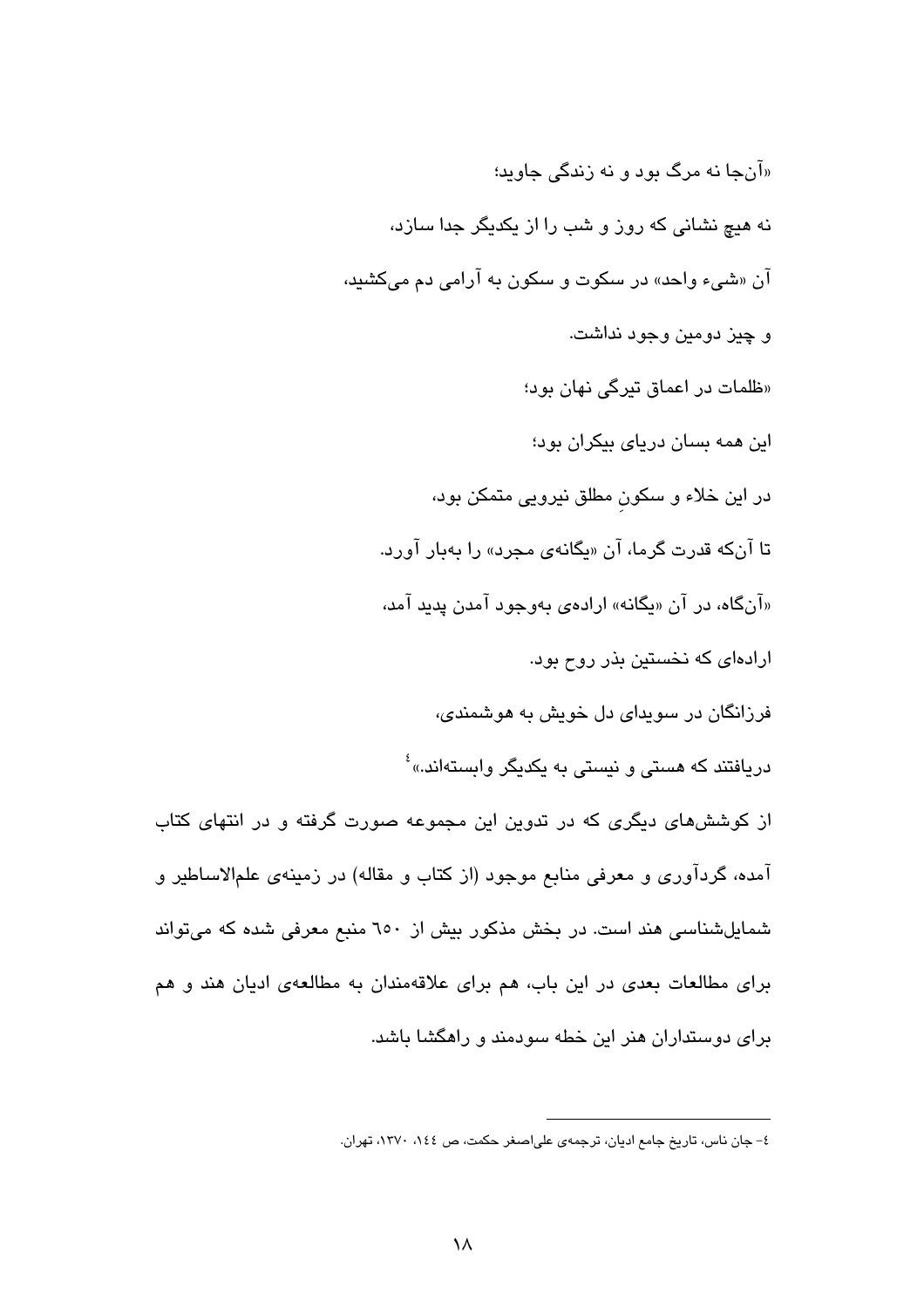«آنجا نه مرگ بود و نه زندگی جاوید؛ نه هیچ نشانی که روز و شب را از یکدیگر جدا سازد، آن «شيء واحد» در سکوت و سکون به آرامي دم ميکشيد، و چيز دومين وجود نداشت. «ظلمات در اعماق تیرگی نهان بود؛ این همه بسان دریای بیکران بود؛ در این خلاء و سکون مطلق نیرویی متمکن بود، تا آنکه قدرت گرما، آن «یگانهی مجرد» را بهبار آورد. «آنگاه، در آن «ىگانه» ارادهى پەرچود آمدن پدېد آمد، ارادهای که نخستین بذر روح بود. فرزانگان در سوېدای دل خویش په هوشمندی، دریافتند که هستی و نیستی به یکدیگر وابستهاند.»<sup>؛</sup> از کوششهای دیگری که در تدوین این مجموعه صورت گرفته و در انتهای کتاب آمده، گردآوری و معرفی منابع موجود (از کتاب و مقاله) در زمینهی علمالاساطیر و شمایلشناسی هند است. در بخش مذکور بیش از ۲۰۰ منبع معرفی شده که میتواند برای مطالعات بعدی در این باب، هم برای علاقهمندان به مطالعهی ادیان هند و هم برای دوستداران هنر این خطه سودمند و راهگشا باشد.

٤- جان ناس، تاریخ جامع ادیان، ترجمهی علیاصغر حکمت، ص ١٤٤، ١٣٧٠، تهران.